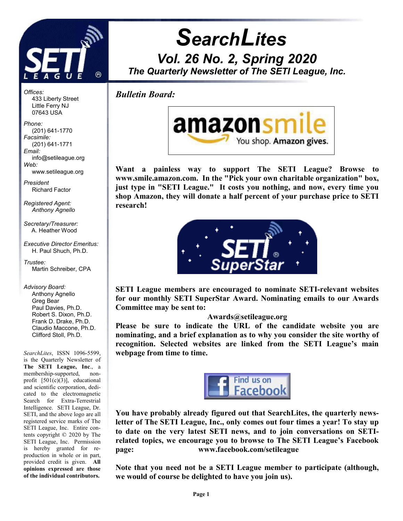

**SearchLites** Vol. 26 No. 2, Spring 2020 The Quarterly Newsletter of The SETI League, Inc.

Bulletin Board:

j



Want a painless way to support The SETI League? Browse to www.smile.amazon.com. In the "Pick your own charitable organization" box, just type in "SETI League." It costs you nothing, and now, every time you shop Amazon, they will donate a half percent of your purchase price to SETI research!



SETI League members are encouraged to nominate SETI-relevant websites for our monthly SETI SuperStar Award. Nominating emails to our Awards Committee may be sent to:

## Awards@setileague.org

Please be sure to indicate the URL of the candidate website you are nominating, and a brief explanation as to why you consider the site worthy of recognition. Selected websites are linked from the SETI League's main webpage from time to time.



You have probably already figured out that SearchLites, the quarterly newsletter of The SETI League, Inc., only comes out four times a year! To stay up to date on the very latest SETI news, and to join conversations on SETIrelated topics, we encourage you to browse to The SETI League's Facebook page: www.facebook.com/setileague

Note that you need not be a SETI League member to participate (although, we would of course be delighted to have you join us).

Offices: 433 Liberty Street Little Ferry NJ 07643 USA

Phone: (201) 641-1770 Facsimile: (201) 641-1771 Email: info@setileague.org Web:

 www.setileague.org President

Richard Factor

Registered Agent: Anthony Agnello

Secretary/Treasurer: A. Heather Wood

Executive Director Emeritus: H. Paul Shuch, Ph.D.

Trustee: Martin Schreiber, CPA

Advisory Board:

 Anthony Agnello Greg Bear Paul Davies, Ph.D. Robert S. Dixon, Ph.D. Frank D. Drake, Ph.D. Claudio Maccone, Ph.D. Clifford Stoll, Ph.D.

SearchLites, ISSN 1096-5599, is the Quarterly Newsletter of The SETI League, Inc., a membership-supported, nonprofit [501(c)(3)], educational and scientific corporation, dedicated to the electromagnetic Search for Extra-Terrestrial Intelligence. SETI League, Dr. SETI, and the above logo are all registered service marks of The SETI League, Inc. Entire contents copyright © 2020 by The SETI League, Inc. Permission is hereby granted for reproduction in whole or in part, provided credit is given. All opinions expressed are those of the individual contributors.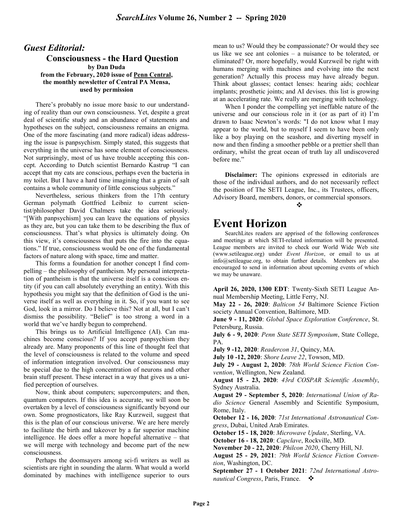### Guest Editorial: Consciousness - the Hard Question by Dan Duda from the February, 2020 issue of Penn Central, the monthly newsletter of Central PA Mensa, used by permission

There's probably no issue more basic to our understanding of reality than our own consciousness. Yet, despite a great deal of scientific study and an abundance of statements and hypotheses on the subject, consciousness remains an enigma. One of the more fascinating (and more radical) ideas addressing the issue is panpsychism. Simply stated, this suggests that everything in the universe has some element of consciousness. Not surprisingly, most of us have trouble accepting this concept. According to Dutch scientist Bernardo Kastrup "I can accept that my cats are conscious, perhaps even the bacteria in my toilet. But I have a hard time imagining that a grain of salt contains a whole community of little conscious subjects."

Nevertheless, serious thinkers from the 17th century German polymath Gottfried Leibniz to current scientist/philosopher David Chalmers take the idea seriously. "[With panpsychism] you can leave the equations of physics as they are, but you can take them to be describing the flux of consciousness. That's what physics is ultimately doing. On this view, it's consciousness that puts the fire into the equations." If true, consciousness would be one of the fundamental factors of nature along with space, time and matter.

This forms a foundation for another concept I find compelling – the philosophy of pantheism. My personal interpretation of pantheism is that the universe itself is a conscious entity (if you can call absolutely everything an entity). With this hypothesis you might say that the definition of God is the universe itself as well as everything in it. So, if you want to see God, look in a mirror. Do I believe this? Not at all, but I can't dismiss the possibility. "Belief" is too strong a word in a world that we've hardly begun to comprehend.

This brings us to Artificial Intelligence (AI). Can machines become conscious? If you accept panpsychism they already are. Many proponents of this line of thought feel that the level of consciousness is related to the volume and speed of information integration involved. Our consciousness may be special due to the high concentration of neurons and other brain stuff present. These interact in a way that gives us a unified perception of ourselves.

Now, think about computers; supercomputers; and then, quantum computers. If this idea is accurate, we will soon be overtaken by a level of consciousness significantly beyond our own. Some prognosticators, like Ray Kurzweil, suggest that this is the plan of our conscious universe. We are here merely to facilitate the birth and takeover by a far superior machine intelligence. He does offer a more hopeful alternative – that we will merge with technology and become part of the new consciousness.

Perhaps the doomsayers among sci-fi writers as well as scientists are right in sounding the alarm. What would a world dominated by machines with intelligence superior to ours mean to us? Would they be compassionate? Or would they see us like we see ant colonies – a nuisance to be tolerated, or eliminated? Or, more hopefully, would Kurzweil be right with humans merging with machines and evolving into the next generation? Actually this process may have already begun. Think about glasses; contact lenses: hearing aids; cochlear implants; prosthetic joints; and AI devises. this list is growing at an accelerating rate. We really are merging with technology.

When I ponder the compelling yet ineffable nature of the universe and our conscious role in it (or as part of it) I'm drawn to Isaac Newton's words: "I do not know what I may appear to the world, but to myself I seem to have been only like a boy playing on the seashore, and diverting myself in now and then finding a smoother pebble or a prettier shell than ordinary, whilst the great ocean of truth lay all undiscovered before me."

Disclaimer: The opinions expressed in editorials are those of the individual authors, and do not necessarily reflect the position of The SETI League, Inc., its Trustees, officers, Advisory Board, members, donors, or commercial sponsors.

#### the contract of the contract of the contract of the contract of the contract of the contract of the contract of

# Event Horizon

SearchLites readers are apprised of the following conferences and meetings at which SETI-related information will be presented. League members are invited to check our World Wide Web site (www.setileague.org) under Event Horizon, or email to us at info@setileague.org, to obtain further details. Members are also encouraged to send in information about upcoming events of which we may be unaware.

April 26, 2020, 1300 EDT: Twenty-Sixth SETI League Annual Membership Meeting, Little Ferry, NJ.

May 22 - 26, 2020: Balticon 54 Baltimore Science Fiction society Annual Convention, Baltimore, MD.

June 9 - 11, 2020: Global Space Exploration Conference, St. Petersburg, Russia.

July 6 - 9, 2020: Penn State SETI Symposium, State College, PA.

July 9 -12, 2020: Readercon 31, Quincy, MA.

July 10 -12, 2020: Shore Leave 22, Towson, MD.

July 29 - August 2, 2020: 78th World Science Fiction Convention, Wellington, New Zealand.

August 15 - 23, 2020: 43rd COSPAR Scientific Assembly, Sydney Australia.

August 29 - September 5, 2020: International Union of Radio Science General Assembly and Scientific Symposium, Rome, Italy.

October 12 - 16, 2020: 71st International Astronautical Congress, Dubai, United Arab Emirates.

October 15 - 18, 2020: Microwave Update, Sterling, VA.

October 16 - 18, 2020: Capclave, Rockville, MD.

November 20 - 22, 2020: Philcon 2020, Cherry Hill, NJ.

August 25 - 29, 2021: 79th World Science Fiction Convention, Washington, DC.

September 27 - 1 October 2021: 72nd International Astronautical Congress, Paris, France.  $\bullet$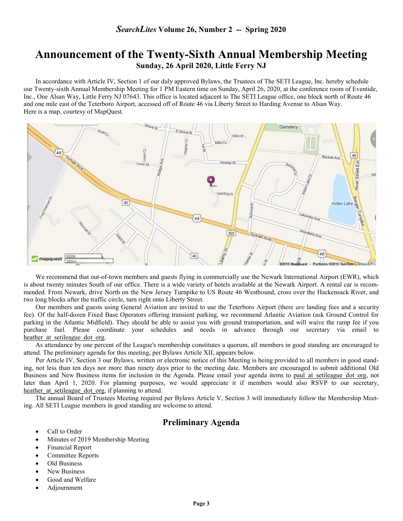## Announcement of the Twenty-Sixth Annual Membership Meeting Sunday, 26 April 2020, Little Ferry NJ

 In accordance with Article IV, Section 1 of our duly approved Bylaws, the Trustees of The SETI League, Inc. hereby schedule our Twenty-sixth Annual Membership Meeting for 1 PM Eastern time on Sunday, April 26, 2020, at the conference room of Eventide, Inc., One Alsan Way, Little Ferry NJ 07643. This office is located adjacent to The SETI League office, one block north of Route 46 and one mile east of the Teterboro Airport, accessed off of Route 46 via Liberty Street to Harding Avenue to Alsan Way. Here is a map, courtesy of MapQuest.



We recommend that out-of-town members and guests flying in commercially use the Newark International Airport (EWR), which is about twenty minutes South of our office. There is a wide variety of hotels available at the Newark Airport. A rental car is recommended. From Newark, drive North on the New Jersey Turnpike to US Route 46 Westbound, cross over the Hackensack River, and two long blocks after the traffic circle, turn right onto Liberty Street.

Our members and guests using General Aviation are invited to use the Teterboro Airport (there *are* landing fees and a security fee). Of the half-dozen Fixed Base Operators offering transient parking, we recommend Atlantic Aviation (ask Ground Control for parking in the Atlantic Midfield). They should be able to assist you with ground transportation, and will waive the ramp fee if you purchase fuel. Please coordinate your schedules and needs in advance through our secretary via email to heather at setileague dot org.

As attendance by one percent of the League's membership constitutes a quorum, all members in good standing are encouraged to attend. The preliminary agenda for this meeting, per Bylaws Article XII, appears below.

Per Article IV, Section 3 our Bylaws, written or electronic notice of this Meeting is being provided to all members in good standing, not less than ten days nor more than ninety days prior to the meeting date. Members are encouraged to submit additional Old Business and New Business items for inclusion in the Agenda. Please email your agenda items to paul at setileague dot org, not later than April 1, 2020. For planning purposes, we would appreciate it if members would also RSVP to our secretary, heather at setileague dot org, if planning to attend.

The annual Board of Trustees Meeting required per Bylaws Article V, Section 3 will immediately follow the Membership Meeting. All SETI League members in good standing are welcome to attend.

## Preliminary Agenda

- Call to Order
- Minutes of 2019 Membership Meeting
- Financial Report
- Committee Reports
- Old Business
- New Business
- Good and Welfare
- Adjournment